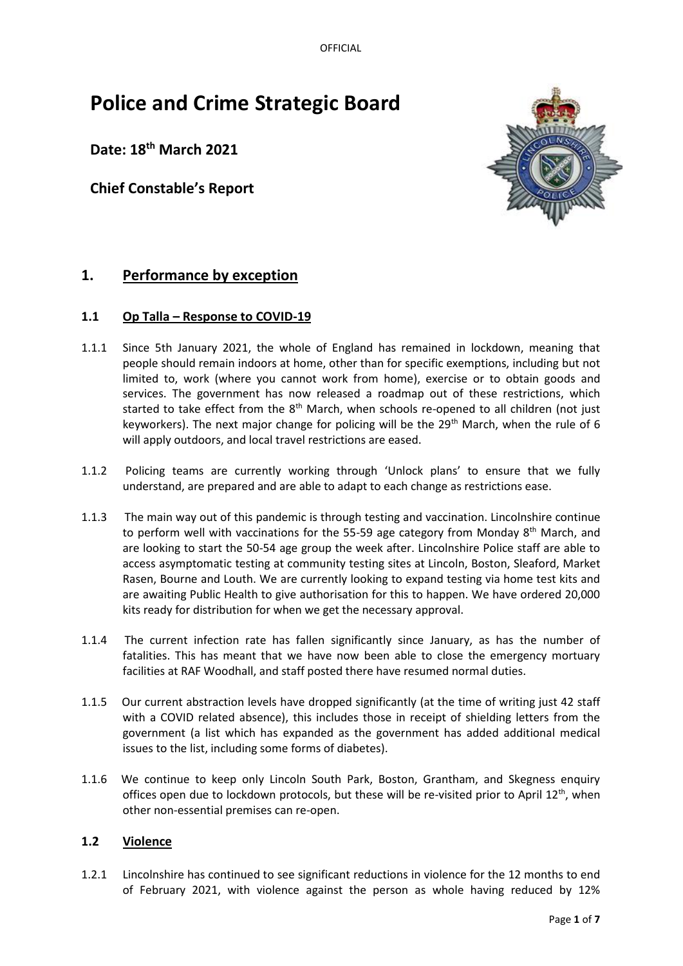OFFICIAL

# **Police and Crime Strategic Board**

**Date: 18th March 2021**

**Chief Constable's Report**



# **1. Performance by exception**

# **1.1 Op Talla – Response to COVID-19**

- 1.1.1 Since 5th January 2021, the whole of England has remained in lockdown, meaning that people should remain indoors at home, other than for specific exemptions, including but not limited to, work (where you cannot work from home), exercise or to obtain goods and services. The government has now released a roadmap out of these restrictions, which started to take effect from the 8<sup>th</sup> March, when schools re-opened to all children (not just keyworkers). The next major change for policing will be the  $29<sup>th</sup>$  March, when the rule of 6 will apply outdoors, and local travel restrictions are eased.
- 1.1.2 Policing teams are currently working through 'Unlock plans' to ensure that we fully understand, are prepared and are able to adapt to each change as restrictions ease.
- 1.1.3 The main way out of this pandemic is through testing and vaccination. Lincolnshire continue to perform well with vaccinations for the 55-59 age category from Monday  $8<sup>th</sup>$  March, and are looking to start the 50-54 age group the week after. Lincolnshire Police staff are able to access asymptomatic testing at community testing sites at Lincoln, Boston, Sleaford, Market Rasen, Bourne and Louth. We are currently looking to expand testing via home test kits and are awaiting Public Health to give authorisation for this to happen. We have ordered 20,000 kits ready for distribution for when we get the necessary approval.
- 1.1.4 The current infection rate has fallen significantly since January, as has the number of fatalities. This has meant that we have now been able to close the emergency mortuary facilities at RAF Woodhall, and staff posted there have resumed normal duties.
- 1.1.5 Our current abstraction levels have dropped significantly (at the time of writing just 42 staff with a COVID related absence), this includes those in receipt of shielding letters from the government (a list which has expanded as the government has added additional medical issues to the list, including some forms of diabetes).
- 1.1.6 We continue to keep only Lincoln South Park, Boston, Grantham, and Skegness enquiry offices open due to lockdown protocols, but these will be re-visited prior to April  $12<sup>th</sup>$ , when other non-essential premises can re-open.

# **1.2 Violence**

1.2.1 Lincolnshire has continued to see significant reductions in violence for the 12 months to end of February 2021, with violence against the person as whole having reduced by 12%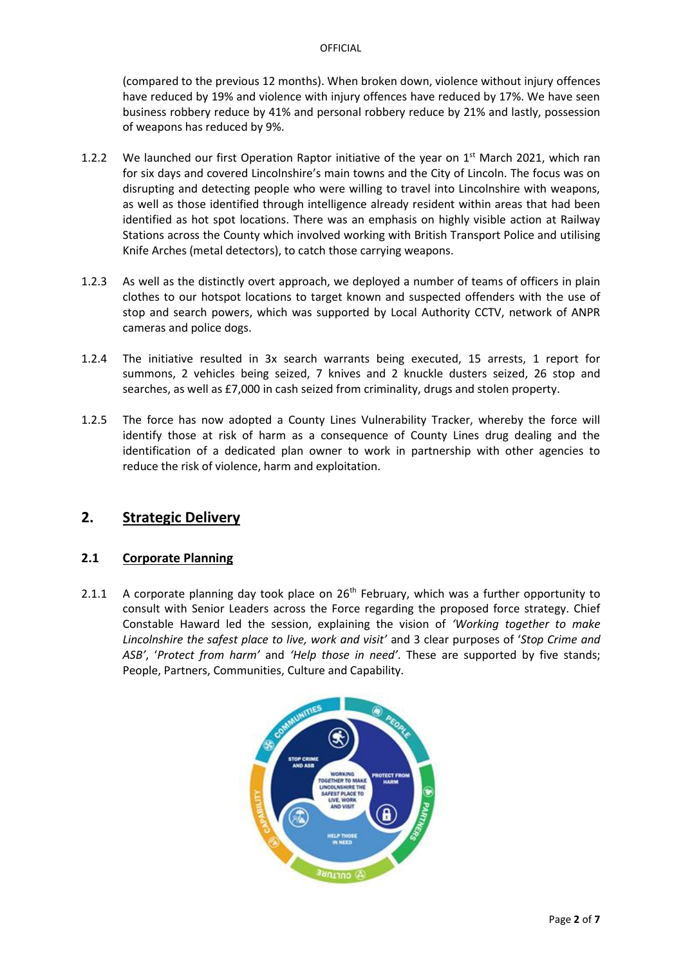(compared to the previous 12 months). When broken down, violence without injury offences have reduced by 19% and violence with injury offences have reduced by 17%. We have seen business robbery reduce by 41% and personal robbery reduce by 21% and lastly, possession of weapons has reduced by 9%.

- 1.2.2 We launched our first Operation Raptor initiative of the year on  $1<sup>st</sup>$  March 2021, which ran for six days and covered Lincolnshire's main towns and the City of Lincoln. The focus was on disrupting and detecting people who were willing to travel into Lincolnshire with weapons, as well as those identified through intelligence already resident within areas that had been identified as hot spot locations. There was an emphasis on highly visible action at Railway Stations across the County which involved working with British Transport Police and utilising Knife Arches (metal detectors), to catch those carrying weapons.
- 1.2.3 As well as the distinctly overt approach, we deployed a number of teams of officers in plain clothes to our hotspot locations to target known and suspected offenders with the use of stop and search powers, which was supported by Local Authority CCTV, network of ANPR cameras and police dogs.
- 1.2.4 The initiative resulted in 3x search warrants being executed, 15 arrests, 1 report for summons, 2 vehicles being seized, 7 knives and 2 knuckle dusters seized, 26 stop and searches, as well as £7,000 in cash seized from criminality, drugs and stolen property.
- 1.2.5 The force has now adopted a County Lines Vulnerability Tracker, whereby the force will identify those at risk of harm as a consequence of County Lines drug dealing and the identification of a dedicated plan owner to work in partnership with other agencies to reduce the risk of violence, harm and exploitation.

# **2. Strategic Delivery**

#### **2.1 Corporate Planning**

2.1.1 A corporate planning day took place on  $26<sup>th</sup>$  February, which was a further opportunity to consult with Senior Leaders across the Force regarding the proposed force strategy. Chief Constable Haward led the session, explaining the vision of *'Working together to make Lincolnshire the safest place to live, work and visit'* and 3 clear purposes of '*Stop Crime and ASB'*, '*Protect from harm'* and *'Help those in need'*. These are supported by five stands; People, Partners, Communities, Culture and Capability.

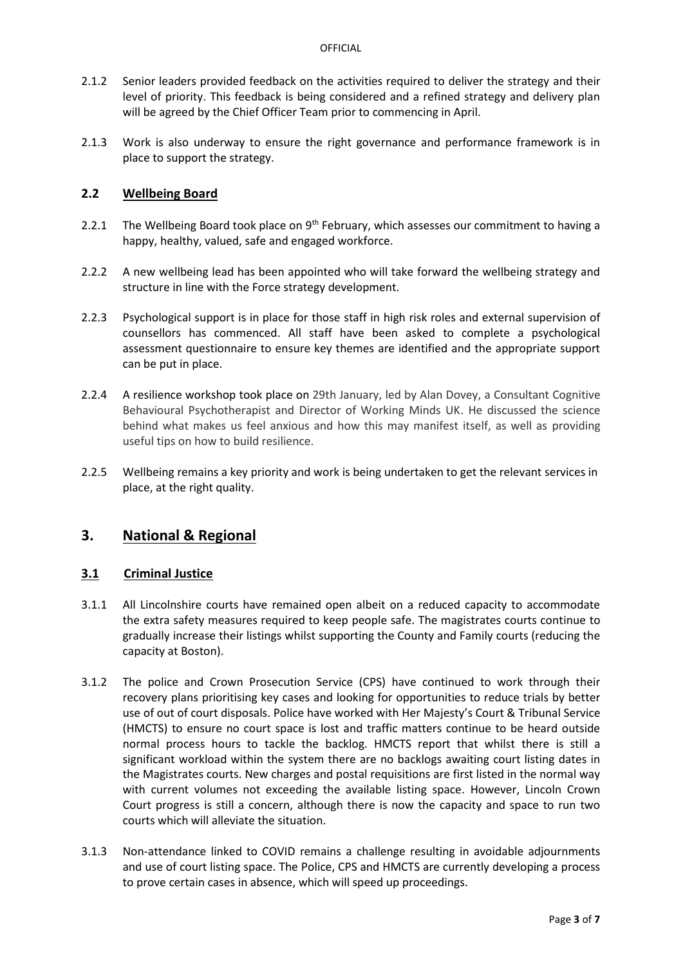- 2.1.2 Senior leaders provided feedback on the activities required to deliver the strategy and their level of priority. This feedback is being considered and a refined strategy and delivery plan will be agreed by the Chief Officer Team prior to commencing in April.
- 2.1.3 Work is also underway to ensure the right governance and performance framework is in place to support the strategy.

### **2.2 Wellbeing Board**

- 2.2.1 The Wellbeing Board took place on 9<sup>th</sup> February, which assesses our commitment to having a happy, healthy, valued, safe and engaged workforce.
- 2.2.2 A new wellbeing lead has been appointed who will take forward the wellbeing strategy and structure in line with the Force strategy development.
- 2.2.3 Psychological support is in place for those staff in high risk roles and external supervision of counsellors has commenced. All staff have been asked to complete a psychological assessment questionnaire to ensure key themes are identified and the appropriate support can be put in place.
- 2.2.4 A resilience workshop took place on 29th January, led by Alan Dovey, a Consultant Cognitive Behavioural Psychotherapist and Director of Working Minds UK. He discussed the science behind what makes us feel anxious and how this may manifest itself, as well as providing useful tips on how to build resilience.
- 2.2.5 Wellbeing remains a key priority and work is being undertaken to get the relevant services in place, at the right quality.

# **3. National & Regional**

#### **3.1 Criminal Justice**

- 3.1.1 All Lincolnshire courts have remained open albeit on a reduced capacity to accommodate the extra safety measures required to keep people safe. The magistrates courts continue to gradually increase their listings whilst supporting the County and Family courts (reducing the capacity at Boston).
- 3.1.2 The police and Crown Prosecution Service (CPS) have continued to work through their recovery plans prioritising key cases and looking for opportunities to reduce trials by better use of out of court disposals. Police have worked with Her Majesty's Court & Tribunal Service (HMCTS) to ensure no court space is lost and traffic matters continue to be heard outside normal process hours to tackle the backlog. HMCTS report that whilst there is still a significant workload within the system there are no backlogs awaiting court listing dates in the Magistrates courts. New charges and postal requisitions are first listed in the normal way with current volumes not exceeding the available listing space. However, Lincoln Crown Court progress is still a concern, although there is now the capacity and space to run two courts which will alleviate the situation.
- 3.1.3 Non-attendance linked to COVID remains a challenge resulting in avoidable adjournments and use of court listing space. The Police, CPS and HMCTS are currently developing a process to prove certain cases in absence, which will speed up proceedings.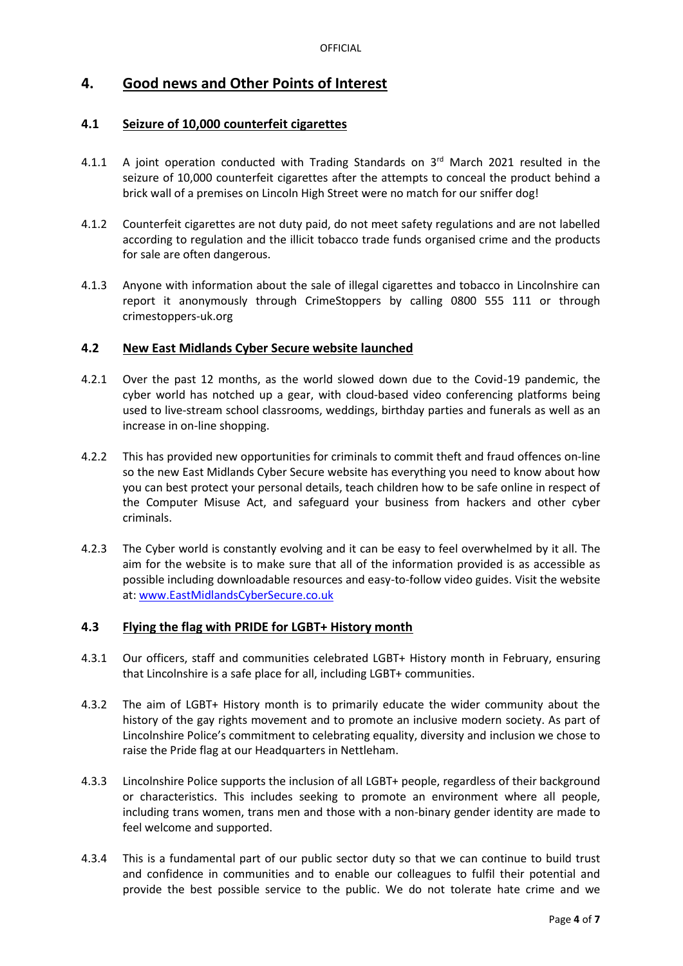# **4. Good news and Other Points of Interest**

# **4.1 Seizure of 10,000 counterfeit cigarettes**

- 4.1.1 A joint operation conducted with Trading Standards on 3rd March 2021 resulted in the seizure of 10,000 counterfeit cigarettes after the attempts to conceal the product behind a brick wall of a premises on Lincoln High Street were no match for our sniffer dog!
- 4.1.2 Counterfeit cigarettes are not duty paid, do not meet safety regulations and are not labelled according to regulation and the illicit tobacco trade funds organised crime and the products for sale are often dangerous.
- 4.1.3 Anyone with information about the sale of illegal cigarettes and tobacco in Lincolnshire can report it anonymously through CrimeStoppers by calling 0800 555 111 or through crimestoppers-uk.org

### **4.2 New East Midlands Cyber Secure website launched**

- 4.2.1 Over the past 12 months, as the world slowed down due to the Covid-19 pandemic, the cyber world has notched up a gear, with cloud-based video conferencing platforms being used to live-stream school classrooms, weddings, birthday parties and funerals as well as an increase in on-line shopping.
- 4.2.2 This has provided new opportunities for criminals to commit theft and fraud offences on-line so the new East Midlands Cyber Secure website has everything you need to know about how you can best protect your personal details, teach children how to be safe online in respect of the Computer Misuse Act, and safeguard your business from hackers and other cyber criminals.
- 4.2.3 The Cyber world is constantly evolving and it can be easy to feel overwhelmed by it all. The aim for the website is to make sure that all of the information provided is as accessible as possible including downloadable resources and easy-to-follow video guides. Visit the website at: [www.EastMidlandsCyberSecure.co.uk](http://www.eastmidlandscybersecure.co.uk/)

# **4.3 Flying the flag with PRIDE for LGBT+ History month**

- 4.3.1 Our officers, staff and communities celebrated LGBT+ History month in February, ensuring that Lincolnshire is a safe place for all, including LGBT+ communities.
- 4.3.2 The aim of LGBT+ History month is to primarily educate the wider community about the history of the gay rights movement and to promote an inclusive modern society. As part of Lincolnshire Police's commitment to celebrating equality, diversity and inclusion we chose to raise the Pride flag at our Headquarters in Nettleham.
- 4.3.3 Lincolnshire Police supports the inclusion of all LGBT+ people, regardless of their background or characteristics. This includes seeking to promote an environment where all people, including trans women, trans men and those with a non-binary gender identity are made to feel welcome and supported.
- 4.3.4 This is a fundamental part of our public sector duty so that we can continue to build trust and confidence in communities and to enable our colleagues to fulfil their potential and provide the best possible service to the public. We do not tolerate hate crime and we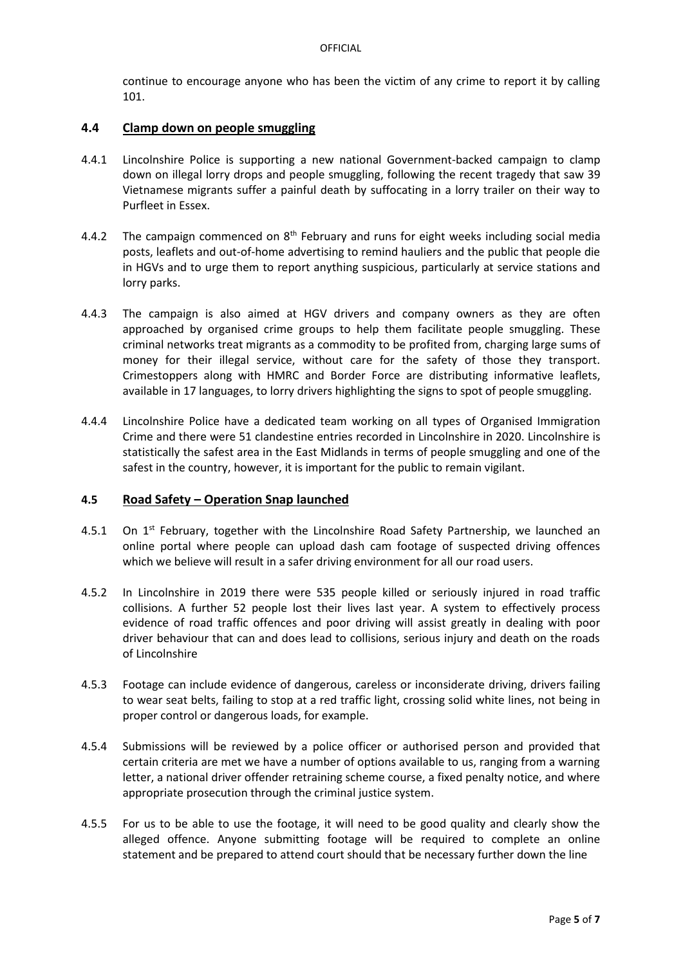continue to encourage anyone who has been the victim of any crime to report it by calling 101.

#### **4.4 Clamp down on people smuggling**

- 4.4.1 Lincolnshire Police is supporting a new national Government-backed campaign to clamp down on illegal lorry drops and people smuggling, following the recent tragedy that saw 39 Vietnamese migrants suffer a painful death by suffocating in a lorry trailer on their way to Purfleet in Essex.
- 4.4.2 The campaign commenced on  $8<sup>th</sup>$  February and runs for eight weeks including social media posts, leaflets and out-of-home advertising to remind hauliers and the public that people die in HGVs and to urge them to report anything suspicious, particularly at service stations and lorry parks.
- 4.4.3 The campaign is also aimed at HGV drivers and company owners as they are often approached by organised crime groups to help them facilitate people smuggling. These criminal networks treat migrants as a commodity to be profited from, charging large sums of money for their illegal service, without care for the safety of those they transport. Crimestoppers along with HMRC and Border Force are distributing informative leaflets, available in 17 languages, to lorry drivers highlighting the signs to spot of people smuggling.
- 4.4.4 Lincolnshire Police have a dedicated team working on all types of Organised Immigration Crime and there were 51 clandestine entries recorded in Lincolnshire in 2020. Lincolnshire is statistically the safest area in the East Midlands in terms of people smuggling and one of the safest in the country, however, it is important for the public to remain vigilant.

#### **4.5 Road Safety – Operation Snap launched**

- 4.5.1 On  $1^{st}$  February, together with the Lincolnshire Road Safety Partnership, we launched an online portal where people can upload dash cam footage of suspected driving offences which we believe will result in a safer driving environment for all our road users.
- 4.5.2 In Lincolnshire in 2019 there were 535 people killed or seriously injured in road traffic collisions. A further 52 people lost their lives last year. A system to effectively process evidence of road traffic offences and poor driving will assist greatly in dealing with poor driver behaviour that can and does lead to collisions, serious injury and death on the roads of Lincolnshire
- 4.5.3 Footage can include evidence of dangerous, careless or inconsiderate driving, drivers failing to wear seat belts, failing to stop at a red traffic light, crossing solid white lines, not being in proper control or dangerous loads, for example.
- 4.5.4 Submissions will be reviewed by a police officer or authorised person and provided that certain criteria are met we have a number of options available to us, ranging from a warning letter, a national driver offender retraining scheme course, a fixed penalty notice, and where appropriate prosecution through the criminal justice system.
- 4.5.5 For us to be able to use the footage, it will need to be good quality and clearly show the alleged offence. Anyone submitting footage will be required to complete an online statement and be prepared to attend court should that be necessary further down the line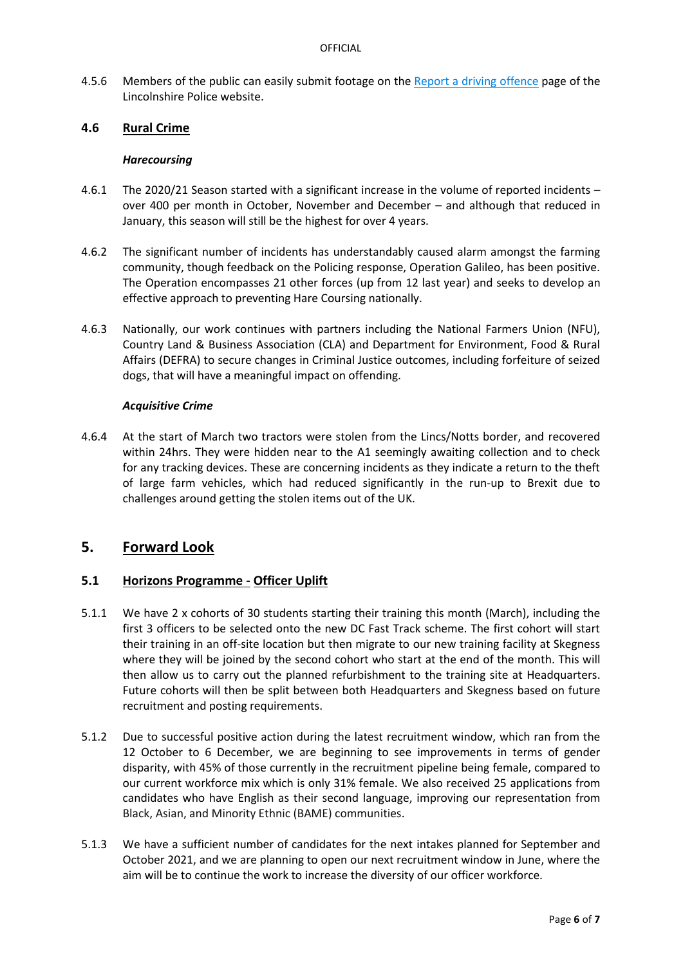4.5.6 Members of the public can easily submit footage on the [Report a driving offence](https://www.lincs.police.uk/reporting-advice/driving-roads-and-vehicles/report-a-driving-offence/) page of the Lincolnshire Police website.

#### **4.6 Rural Crime**

#### *Harecoursing*

- 4.6.1 The 2020/21 Season started with a significant increase in the volume of reported incidents over 400 per month in October, November and December – and although that reduced in January, this season will still be the highest for over 4 years.
- 4.6.2 The significant number of incidents has understandably caused alarm amongst the farming community, though feedback on the Policing response, Operation Galileo, has been positive. The Operation encompasses 21 other forces (up from 12 last year) and seeks to develop an effective approach to preventing Hare Coursing nationally.
- 4.6.3 Nationally, our work continues with partners including the National Farmers Union (NFU), Country Land & Business Association (CLA) and Department for Environment, Food & Rural Affairs (DEFRA) to secure changes in Criminal Justice outcomes, including forfeiture of seized dogs, that will have a meaningful impact on offending.

#### *Acquisitive Crime*

4.6.4 At the start of March two tractors were stolen from the Lincs/Notts border, and recovered within 24hrs. They were hidden near to the A1 seemingly awaiting collection and to check for any tracking devices. These are concerning incidents as they indicate a return to the theft of large farm vehicles, which had reduced significantly in the run-up to Brexit due to challenges around getting the stolen items out of the UK.

# **5. Forward Look**

#### **5.1 Horizons Programme - Officer Uplift**

- 5.1.1 We have 2 x cohorts of 30 students starting their training this month (March), including the first 3 officers to be selected onto the new DC Fast Track scheme. The first cohort will start their training in an off-site location but then migrate to our new training facility at Skegness where they will be joined by the second cohort who start at the end of the month. This will then allow us to carry out the planned refurbishment to the training site at Headquarters. Future cohorts will then be split between both Headquarters and Skegness based on future recruitment and posting requirements.
- 5.1.2 Due to successful positive action during the latest recruitment window, which ran from the 12 October to 6 December, we are beginning to see improvements in terms of gender disparity, with 45% of those currently in the recruitment pipeline being female, compared to our current workforce mix which is only 31% female. We also received 25 applications from candidates who have English as their second language, improving our representation from Black, Asian, and Minority Ethnic (BAME) communities.
- 5.1.3 We have a sufficient number of candidates for the next intakes planned for September and October 2021, and we are planning to open our next recruitment window in June, where the aim will be to continue the work to increase the diversity of our officer workforce.